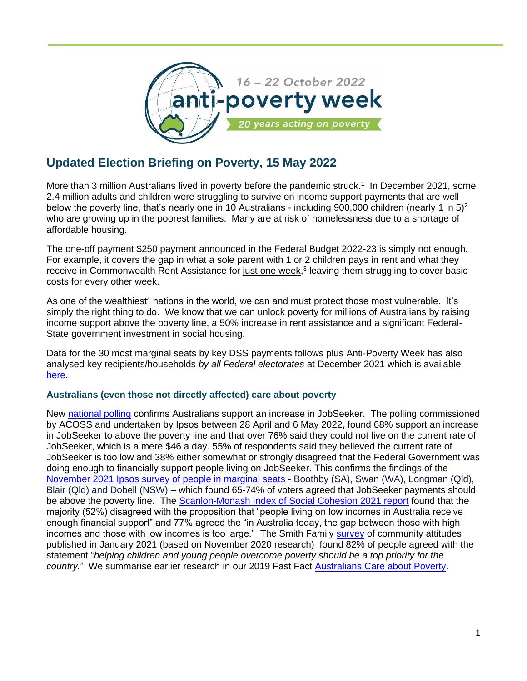

# **Updated Election Briefing on Poverty, 15 May 2022**

More than 3 million Australians lived in poverty before the pandemic struck.<sup>1</sup> In December 2021, some 2.4 million adults and children were struggling to survive on income support payments that are well below the poverty line, that's nearly one in 10 Australians - including 900,000 children (nearly 1 in 5)<sup>2</sup> who are growing up in the poorest families. Many are at risk of homelessness due to a shortage of affordable housing.

The one-off payment \$250 payment announced in the Federal Budget 2022-23 is simply not enough. For example, it covers the gap in what a sole parent with 1 or 2 children pays in rent and what they receive in Commonwealth Rent Assistance for just one week,<sup>3</sup> leaving them struggling to cover basic costs for every other week.

As one of the wealthiest<sup>4</sup> nations in the world, we can and must protect those most vulnerable. It's simply the right thing to do. We know that we can unlock poverty for millions of Australians by raising income support above the poverty line, a 50% increase in rent assistance and a significant Federal-State government investment in social housing.

Data for the 30 most marginal seats by key DSS payments follows plus Anti-Poverty Week has also analysed key recipients/households *by all Federal electorates* at December 2021 which is available [here.](https://antipovertyweek.org.au/2022/04/federal-election-key-data-by-federal-electorate-now-available/)

## **Australians (even those not directly affected) care about poverty**

New [national polling](https://www.news.com.au/finance/money/costs/a-new-poll-has-found-a-policy-blind-spot-that-could-win-the-election-for-either-party/news-story/70d85bc82abfa1c41680dc7e8dcd04d5) confirms Australians support an increase in JobSeeker. The polling commissioned by ACOSS and undertaken by Ipsos between 28 April and 6 May 2022, found 68% support an increase in JobSeeker to above the poverty line and that over 76% said they could not live on the current rate of JobSeeker, which is a mere \$46 a day. 55% of respondents said they believed the current rate of JobSeeker is too low and 38% either somewhat or strongly disagreed that the Federal Government was doing enough to financially support people living on JobSeeker. This confirms the findings of the [November 2021 Ipsos survey of people in marginal seats](https://www.acoss.org.au/media-releases/?media_release=better-income-support-a-vote-changer-in-swinging-seats) - Boothby (SA), Swan (WA), Longman (Qld), Blair (Qld) and Dobell (NSW) – which found 65-74% of voters agreed that JobSeeker payments should be above the poverty line. The [Scanlon-Monash Index of Social Cohesion](https://www.monash.edu/__data/assets/pdf_file/0007/2762080/mapping-social-cohesion-national-report-2021.pdf) 2021 report found that the majority (52%) disagreed with the proposition that "people living on low incomes in Australia receive enough financial support" and 77% agreed the "in Australia today, the gap between those with high incomes and those with low incomes is too large." The Smith Family [survey](https://www.thesmithfamily.com.au/-/media/files/about-us/media/community-attitudes-survey---back-to-school-2021.pdf?la=en&hash=BC6360CC3D44A13139AAE53340872AC4) of community attitudes published in January 2021 (based on November 2020 research) found 82% of people agreed with the statement "*helping children and young people overcome poverty should be a top priority for the country.*" We summarise earlier research in our 2019 Fast Fact [Australians Care about Poverty.](https://antipovertyweek.org.au/wp-content/uploads/2019/07/Australians-Care-About-Poverty-APW-2019.pdf)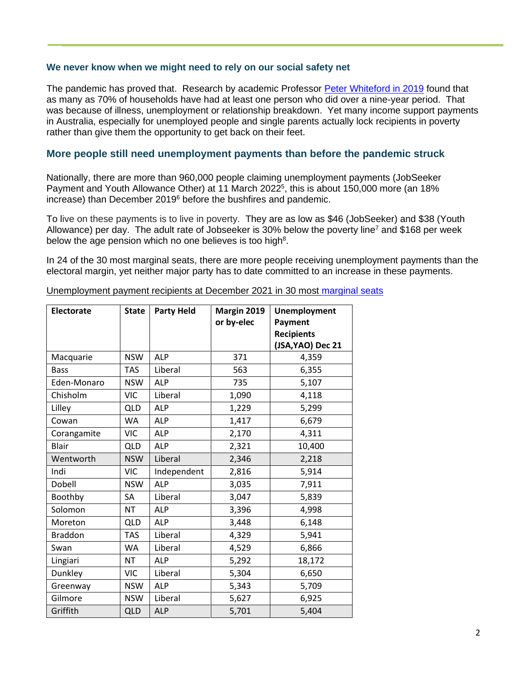#### **We never know when we might need to rely on our social safety net**

The pandemic has proved that. Research by academic Professor [Peter Whiteford in 2019](http://www.social-policy.org.uk/50-for-50/australia-welfare/) found that as many as 70% of households have had at least one person who did over a nine-year period. That was because of illness, unemployment or relationship breakdown. Yet many income support payments in Australia, especially for unemployed people and single parents actually lock recipients in poverty rather than give them the opportunity to get back on their feet.

### **More people still need unemployment payments than before the pandemic struck**

Nationally, there are more than 960,000 people claiming unemployment payments (JobSeeker Payment and Youth Allowance Other) at 11 March 2022<sup>5</sup>, this is about 150,000 more (an 18% increase) than December 2019<sup>6</sup> before the bushfires and pandemic.

To live on these payments is to live in poverty. They are as low as \$46 (JobSeeker) and \$38 (Youth Allowance) per day. The adult rate of Jobseeker is 30% below the poverty line<sup>7</sup> and \$168 per week below the age pension which no one believes is too high<sup>8</sup>.

In 24 of the 30 most marginal seats, there are more people receiving unemployment payments than the electoral margin, yet neither major party has to date committed to an increase in these payments.

| <b>Electorate</b> | <b>State</b> | <b>Party Held</b> | Margin 2019<br>or by-elec | <b>Unemployment</b><br>Payment<br><b>Recipients</b><br>(JSA, YAO) Dec 21 |
|-------------------|--------------|-------------------|---------------------------|--------------------------------------------------------------------------|
| Macquarie         | <b>NSW</b>   | <b>ALP</b>        | 371                       | 4,359                                                                    |
| <b>Bass</b>       | <b>TAS</b>   | Liberal           | 563                       | 6,355                                                                    |
| Eden-Monaro       | <b>NSW</b>   | <b>ALP</b>        | 735                       | 5,107                                                                    |
| Chisholm          | <b>VIC</b>   | Liberal           | 1,090                     | 4,118                                                                    |
| Lilley            | QLD          | <b>ALP</b>        | 1,229                     | 5,299                                                                    |
| Cowan             | <b>WA</b>    | <b>ALP</b>        | 1,417                     | 6,679                                                                    |
| Corangamite       | <b>VIC</b>   | <b>ALP</b>        | 2,170                     | 4,311                                                                    |
| <b>Blair</b>      | QLD          | <b>ALP</b>        | 2,321                     | 10,400                                                                   |
| Wentworth         | <b>NSW</b>   | Liberal           | 2,346                     | 2,218                                                                    |
| Indi              | <b>VIC</b>   | Independent       | 2,816                     | 5,914                                                                    |
| Dobell            | <b>NSW</b>   | <b>ALP</b>        | 3,035                     | 7,911                                                                    |
| Boothby           | SA           | Liberal           | 3,047                     | 5,839                                                                    |
| Solomon           | <b>NT</b>    | <b>ALP</b>        | 3,396                     | 4,998                                                                    |
| Moreton           | QLD          | <b>ALP</b>        | 3,448                     | 6,148                                                                    |
| <b>Braddon</b>    | <b>TAS</b>   | Liberal           | 4,329                     | 5,941                                                                    |
| Swan              | <b>WA</b>    | Liberal           | 4,529                     | 6,866                                                                    |
| Lingiari          | <b>NT</b>    | <b>ALP</b>        | 5,292                     | 18,172                                                                   |
| Dunkley           | <b>VIC</b>   | Liberal           | 5,304                     | 6,650                                                                    |
| Greenway          | <b>NSW</b>   | <b>ALP</b>        | 5,343                     | 5,709                                                                    |
| Gilmore           | <b>NSW</b>   | Liberal           | 5,627                     | 6,925                                                                    |
| Griffith          | <b>QLD</b>   | <b>ALP</b>        | 5,701                     | 5,404                                                                    |

Unemployment payment recipients at December 2021 in 30 most [marginal seats](https://results.aec.gov.au/24310/Website/HouseDivisionalResults-24310.htm)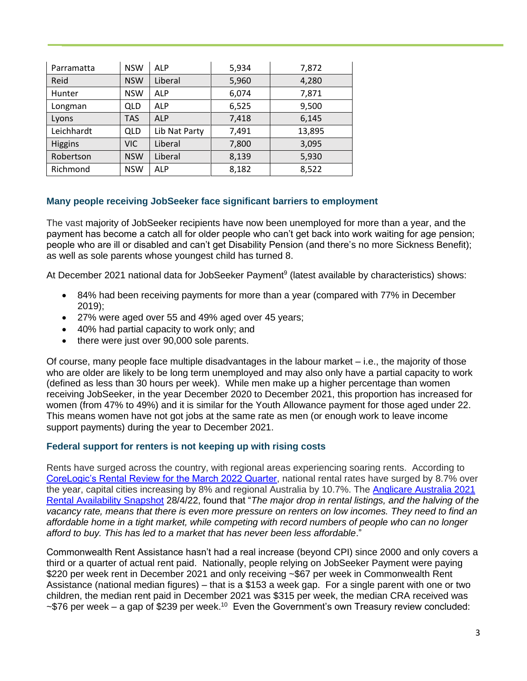| Parramatta     | <b>NSW</b> | <b>ALP</b>    | 5,934 | 7,872  |
|----------------|------------|---------------|-------|--------|
| Reid           | <b>NSW</b> | Liberal       | 5,960 | 4,280  |
| Hunter         | <b>NSW</b> | <b>ALP</b>    | 6,074 | 7,871  |
| Longman        | QLD        | <b>ALP</b>    | 6,525 | 9,500  |
| Lyons          | <b>TAS</b> | <b>ALP</b>    | 7,418 | 6,145  |
| Leichhardt     | <b>QLD</b> | Lib Nat Party | 7,491 | 13,895 |
| <b>Higgins</b> | <b>VIC</b> | Liberal       | 7,800 | 3,095  |
| Robertson      | <b>NSW</b> | Liberal       | 8,139 | 5,930  |
| Richmond       | <b>NSW</b> | <b>ALP</b>    | 8,182 | 8,522  |

### **Many people receiving JobSeeker face significant barriers to employment**

The vast majority of JobSeeker recipients have now been unemployed for more than a year, and the payment has become a catch all for older people who can't get back into work waiting for age pension; people who are ill or disabled and can't get Disability Pension (and there's no more Sickness Benefit); as well as sole parents whose youngest child has turned 8.

At December 2021 national data for JobSeeker Payment<sup>9</sup> (latest available by characteristics) shows:

- 84% had been receiving payments for more than a year (compared with 77% in December 2019);
- 27% were aged over 55 and 49% aged over 45 years;
- 40% had partial capacity to work only; and
- there were just over 90,000 sole parents.

Of course, many people face multiple disadvantages in the labour market – i.e., the majority of those who are older are likely to be long term unemployed and may also only have a partial capacity to work (defined as less than 30 hours per week). While men make up a higher percentage than women receiving JobSeeker, in the year December 2020 to December 2021, this proportion has increased for women (from 47% to 49%) and it is similar for the Youth Allowance payment for those aged under 22. This means women have not got jobs at the same rate as men (or enough work to leave income support payments) during the year to December 2021.

### **Federal support for renters is not keeping up with rising costs**

Rents have surged across the country, with regional areas experiencing soaring rents. According to [CoreLogic's Rental Review for the March 2022 Quarter,](https://www.corelogic.com.au/news-research/reports/quarterly-rental-review) national rental rates have surged by 8.7% over the year, capital cities increasing by 8% and regional Australia by 10.7%. The [Anglicare Australia](https://www.anglicare.asn.au/wp-content/uploads/2022/04/Rental-Affordability-Snapshot-National-report.pdf) 2021 [Rental Availability Snapshot](https://www.anglicare.asn.au/wp-content/uploads/2022/04/Rental-Affordability-Snapshot-National-report.pdf) 28/4/22, found that "*The major drop in rental listings, and the halving of the*  vacancy rate, means that there is even more pressure on renters on low incomes. They need to find an *affordable home in a tight market, while competing with record numbers of people who can no longer afford to buy. This has led to a market that has never been less affordable*."

Commonwealth Rent Assistance hasn't had a real increase (beyond CPI) since 2000 and only covers a third or a quarter of actual rent paid. Nationally, people relying on JobSeeker Payment were paying \$220 per week rent in December 2021 and only receiving ~\$67 per week in Commonwealth Rent Assistance (national median figures) – that is a \$153 a week gap. For a single parent with one or two children, the median rent paid in December 2021 was \$315 per week, the median CRA received was  $\sim$ \$76 per week – a gap of \$239 per week.<sup>10</sup> Even the Government's own Treasury review concluded: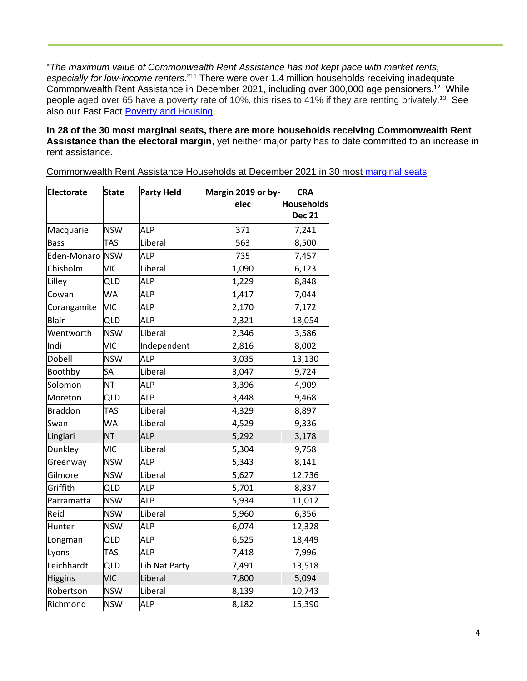"*The maximum value of Commonwealth Rent Assistance has not kept pace with market rents, especially for low-income renters*."<sup>11</sup> There were over 1.4 million households receiving inadequate Commonwealth Rent Assistance in December 2021, including over 300,000 age pensioners.<sup>12</sup> While people aged over 65 have a poverty rate of 10%, this rises to 41% if they are renting privately.<sup>13</sup> See also our Fast Fact [Poverty and Housing.](https://antipovertyweek.org.au/wp-content/uploads/2021/10/Final-APW-Poverty-and-Housing-Fast-Fact-5-October-2021.pdf)

**In 28 of the 30 most marginal seats, there are more households receiving Commonwealth Rent Assistance than the electoral margin**, yet neither major party has to date committed to an increase in rent assistance.

Commonwealth Rent Assistance Households at December 2021 in 30 most [marginal seats](https://results.aec.gov.au/24310/Website/HouseDivisionalResults-24310.htm)

| Electorate      | <b>State</b> | <b>Party Held</b> | Margin 2019 or by- | <b>CRA</b>        |
|-----------------|--------------|-------------------|--------------------|-------------------|
|                 |              |                   | elec               | <b>Households</b> |
|                 |              |                   |                    | <b>Dec 21</b>     |
| Macquarie       | <b>NSW</b>   | <b>ALP</b>        | 371                | 7,241             |
| <b>Bass</b>     | <b>TAS</b>   | Liberal           | 563                | 8,500             |
| Eden-Monaro NSW |              | <b>ALP</b>        | 735                | 7,457             |
| Chisholm        | <b>VIC</b>   | Liberal           | 1,090              | 6,123             |
| Lilley          | QLD          | <b>ALP</b>        | 1,229              | 8,848             |
| Cowan           | <b>WA</b>    | <b>ALP</b>        | 1,417              | 7,044             |
| Corangamite     | <b>VIC</b>   | <b>ALP</b>        | 2,170              | 7,172             |
| <b>Blair</b>    | QLD          | <b>ALP</b>        | 2,321              | 18,054            |
| Wentworth       | <b>NSW</b>   | Liberal           | 2,346              | 3,586             |
| Indi            | VIC          | Independent       | 2,816              | 8,002             |
| Dobell          | <b>NSW</b>   | <b>ALP</b>        | 3,035              | 13,130            |
| Boothby         | SA           | Liberal           | 3,047              | 9,724             |
| Solomon         | <b>NT</b>    | <b>ALP</b>        | 3,396              | 4,909             |
| Moreton         | QLD          | <b>ALP</b>        | 3,448              | 9,468             |
| <b>Braddon</b>  | <b>TAS</b>   | Liberal           | 4,329              | 8,897             |
| Swan            | <b>WA</b>    | Liberal           | 4,529              | 9,336             |
| Lingiari        | <b>NT</b>    | <b>ALP</b>        | 5,292              | 3,178             |
| Dunkley         | VIC          | Liberal           | 5,304              | 9,758             |
| Greenway        | <b>NSW</b>   | <b>ALP</b>        | 5,343              | 8,141             |
| Gilmore         | <b>NSW</b>   | Liberal           | 5,627              | 12,736            |
| Griffith        | QLD          | <b>ALP</b>        | 5,701              | 8,837             |
| Parramatta      | <b>NSW</b>   | <b>ALP</b>        | 5,934              | 11,012            |
| Reid            | <b>NSW</b>   | Liberal           | 5,960              | 6,356             |
| Hunter          | <b>NSW</b>   | <b>ALP</b>        | 6,074              | 12,328            |
| Longman         | QLD          | <b>ALP</b>        | 6,525              | 18,449            |
| Lyons           | <b>TAS</b>   | <b>ALP</b>        | 7,418              | 7,996             |
| Leichhardt      | QLD          | Lib Nat Party     | 7,491              | 13,518            |
| <b>Higgins</b>  | <b>VIC</b>   | Liberal           | 7,800              | 5,094             |
| Robertson       | <b>NSW</b>   | Liberal           | 8,139              | 10,743            |
| Richmond        | <b>NSW</b>   | <b>ALP</b>        | 8,182              | 15,390            |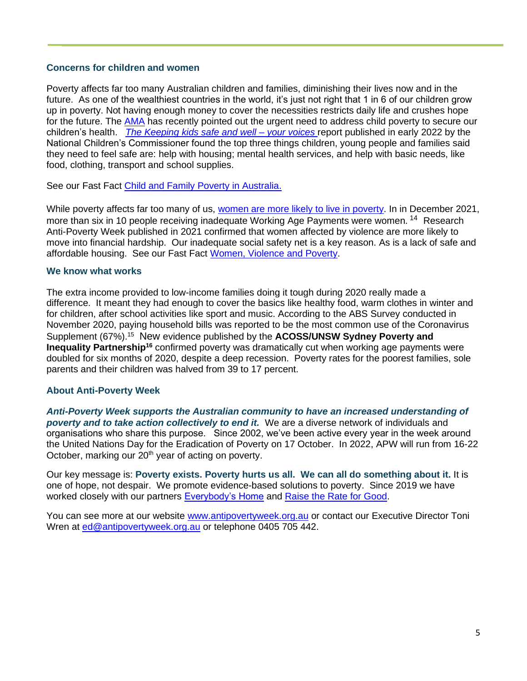#### **Concerns for children and women**

Poverty affects far too many Australian children and families, diminishing their lives now and in the future. As one of the wealthiest countries in the world, it's just not right that 1 in 6 of our children grow up in poverty. Not having enough money to cover the necessities restricts daily life and crushes hope for the future. The [AMA](https://www.ama.com.au/media/ama-joins-call-child-health-taskforce) has recently pointed out the urgent need to address child poverty to secure our children's health. *The [Keeping kids safe and well –](https://humanrights.gov.au/safeandwell) your voices* report published in early 2022 by the National Children's Commissioner found the top three things children, young people and families said they need to feel safe are: help with housing; mental health services, and help with basic needs, like food, clothing, transport and school supplies.

See our Fast Fact [Child and Family Poverty in Australia.](about:blank)

While poverty affects far too many of us, [women are more likely to live in poverty.](http://www.powertopersuade.org.au/blog/poverty-in-australia-2020-what-does-a-gendered-analysis-reveal/19/2/2020) In in December 2021, more than six in 10 people receiving inadequate Working Age Payments were women. <sup>14</sup> Research Anti-Poverty Week published in 2021 confirmed that women affected by violence are more likely to move into financial hardship. Our inadequate social safety net is a key reason. As is a lack of safe and affordable housing. See our Fast Fact [Women, Violence and Poverty.](https://antipovertyweek.org.au/wp-content/uploads/2021/09/APW-Final-Women-Violence-and-Poverty-Fast-Facts-30.08.2021.pdf)

#### **We know what works**

The extra income provided to low-income families doing it tough during 2020 really made a difference. It meant they had enough to cover the basics like healthy food, warm clothes in winter and for children, after school activities like sport and music. According to the ABS Survey conducted in November 2020, paying household bills was reported to be the most common use of the Coronavirus Supplement (67%).<sup>15</sup> New evidence published by the **ACOSS/UNSW Sydney Poverty and Inequality Partnership<sup>16</sup>** confirmed poverty was dramatically cut when working age payments were doubled for six months of 2020, despite a deep recession. Poverty rates for the poorest families, sole parents and their children was halved from 39 to 17 percent.

#### **About Anti-Poverty Week**

*Anti-Poverty Week supports the Australian community to have an increased understanding of poverty and to take action collectively to end it.* We are a diverse network of individuals and organisations who share this purpose. Since 2002, we've been active every year in the week around the United Nations Day for the Eradication of Poverty on 17 October. In 2022, APW will run from 16-22 October, marking our 20<sup>th</sup> year of acting on poverty.

Our key message is: **Poverty exists. Poverty hurts us all. We can all do something about it.** It is one of hope, not despair. We promote evidence-based solutions to poverty. Since 2019 we have worked closely with our partners [Everybody's Home](https://everybodyshome.com.au/) and [Raise the Rate](https://raisetherate.org.au/) for Good.

You can see more at our website [www.antipovertyweek.org.au](http://www.antipovertyweek.org.au/) or contact our Executive Director Toni Wren at [ed@antipovertyweek.org.au](mailto:ed@antipovertyweek.org.au) or telephone 0405 705 442.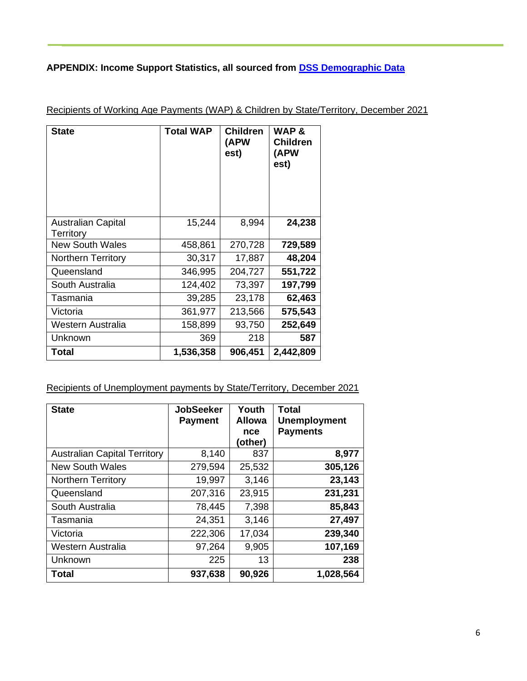# **APPENDIX: Income Support Statistics, all sourced from [DSS Demographic Data](https://data.gov.au/data/dataset/dss-payment-demographic-data)**

| <b>State</b>                                  | <b>Total WAP</b> | <b>Children</b><br>(APW<br>est) | <b>WAP&amp;</b><br><b>Children</b><br>(APW<br>est) |
|-----------------------------------------------|------------------|---------------------------------|----------------------------------------------------|
| <b>Australian Capital</b><br><b>Territory</b> | 15,244           | 8,994                           | 24,238                                             |
| <b>New South Wales</b>                        | 458,861          | 270,728                         | 729,589                                            |
| <b>Northern Territory</b>                     | 30,317           | 17,887                          | 48,204                                             |
| Queensland                                    | 346,995          | 204,727                         | 551,722                                            |
| South Australia                               | 124,402          | 73,397                          | 197,799                                            |
| Tasmania                                      | 39,285           | 23,178                          | 62,463                                             |
| Victoria                                      | 361,977          | 213,566                         | 575,543                                            |
| Western Australia                             | 158,899          | 93,750                          | 252,649                                            |
| Unknown                                       | 369              | 218                             | 587                                                |
| Total                                         | 1,536,358        | 906,451                         | 2,442,809                                          |

Recipients of Working Age Payments (WAP) & Children by State/Territory, December 2021

# Recipients of Unemployment payments by State/Territory, December 2021

| <b>State</b>                        | <b>JobSeeker</b><br><b>Payment</b> | Youth<br><b>Allowa</b><br>nce<br>(other) | <b>Total</b><br><b>Unemployment</b><br><b>Payments</b> |
|-------------------------------------|------------------------------------|------------------------------------------|--------------------------------------------------------|
| <b>Australian Capital Territory</b> | 8,140                              | 837                                      | 8,977                                                  |
| <b>New South Wales</b>              | 279,594                            | 25,532                                   | 305,126                                                |
| <b>Northern Territory</b>           | 19,997                             | 3,146                                    | 23,143                                                 |
| Queensland                          | 207,316                            | 23,915                                   | 231,231                                                |
| South Australia                     | 78,445                             | 7,398                                    | 85,843                                                 |
| Tasmania                            | 24,351                             | 3,146                                    | 27,497                                                 |
| Victoria                            | 222,306                            | 17,034                                   | 239,340                                                |
| Western Australia                   | 97,264                             | 9,905                                    | 107,169                                                |
| Unknown                             | 225                                | 13                                       | 238                                                    |
| <b>Total</b>                        | 937,638                            | 90,926                                   | 1,028,564                                              |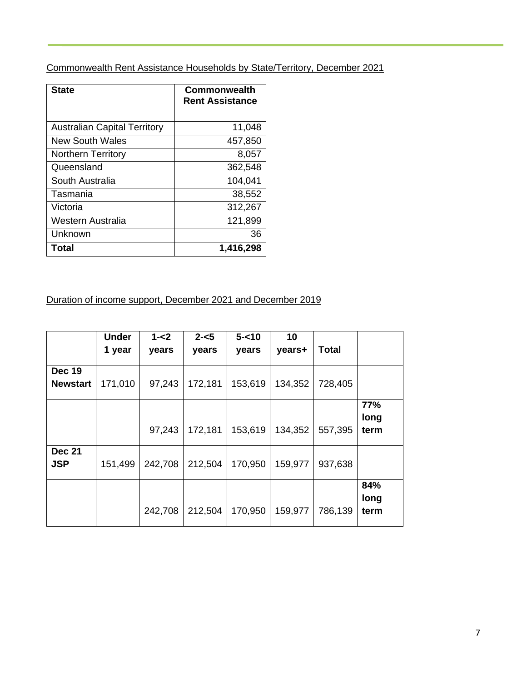Commonwealth Rent Assistance Households by State/Territory, December 2021

| <b>State</b>                        | Commonwealth<br><b>Rent Assistance</b> |
|-------------------------------------|----------------------------------------|
| <b>Australian Capital Territory</b> | 11,048                                 |
| <b>New South Wales</b>              | 457,850                                |
| <b>Northern Territory</b>           | 8,057                                  |
| Queensland                          | 362,548                                |
| South Australia                     | 104,041                                |
| Tasmania                            | 38,552                                 |
| Victoria                            | 312,267                                |
| Western Australia                   | 121,899                                |
| Unknown                             | 36                                     |
| Total                               | 1,416,298                              |

Duration of income support, December 2021 and December 2019

|                                  | <b>Under</b> | $1 - 2$ | $2 - 5$ | $5 - 10$ | 10      |              |                            |
|----------------------------------|--------------|---------|---------|----------|---------|--------------|----------------------------|
|                                  | 1 year       | years   | years   | years    | years+  | <b>Total</b> |                            |
| <b>Dec 19</b><br><b>Newstart</b> | 171,010      | 97,243  | 172,181 | 153,619  | 134,352 | 728,405      |                            |
|                                  |              | 97,243  | 172,181 | 153,619  | 134,352 | 557,395      | <b>77%</b><br>long<br>term |
| <b>Dec 21</b><br><b>JSP</b>      | 151,499      | 242,708 | 212,504 | 170,950  | 159,977 | 937,638      |                            |
|                                  |              | 242,708 | 212,504 | 170,950  | 159,977 | 786,139      | 84%<br>long<br>term        |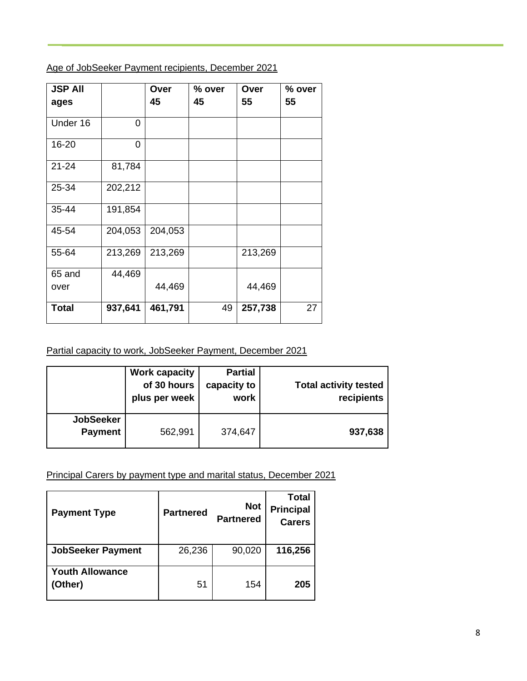|  |  |  |  | Age of JobSeeker Payment recipients, December 2021 |  |
|--|--|--|--|----------------------------------------------------|--|
|  |  |  |  |                                                    |  |

| <b>JSP AII</b><br>ages |                | Over<br>45 | % over<br>45 | Over<br>55 | % over<br>55 |
|------------------------|----------------|------------|--------------|------------|--------------|
|                        |                |            |              |            |              |
| Under 16               | $\overline{0}$ |            |              |            |              |
| 16-20                  | 0              |            |              |            |              |
| $21 - 24$              | 81,784         |            |              |            |              |
| 25-34                  | 202,212        |            |              |            |              |
| 35-44                  | 191,854        |            |              |            |              |
| 45-54                  | 204,053        | 204,053    |              |            |              |
| 55-64                  | 213,269        | 213,269    |              | 213,269    |              |
| 65 and                 | 44,469         |            |              |            |              |
| over                   |                | 44,469     |              | 44,469     |              |
| <b>Total</b>           | 937,641        | 461,791    | 49           | 257,738    | 27           |

# Partial capacity to work, JobSeeker Payment, December 2021

|                                    | <b>Work capacity</b><br>of 30 hours<br>plus per week | <b>Partial</b><br>capacity to<br>work | <b>Total activity tested</b><br>recipients |
|------------------------------------|------------------------------------------------------|---------------------------------------|--------------------------------------------|
| <b>JobSeeker</b><br><b>Payment</b> | 562,991                                              | 374,647                               | 937,638                                    |

Principal Carers by payment type and marital status, December 2021

| <b>Payment Type</b>               | <b>Partnered</b> | <b>Not</b><br><b>Partnered</b> | <b>Total</b><br><b>Principal</b><br><b>Carers</b> |
|-----------------------------------|------------------|--------------------------------|---------------------------------------------------|
| <b>JobSeeker Payment</b>          | 26,236           | 90,020                         | 116,256                                           |
| <b>Youth Allowance</b><br>(Other) | 51               | 154                            | 205                                               |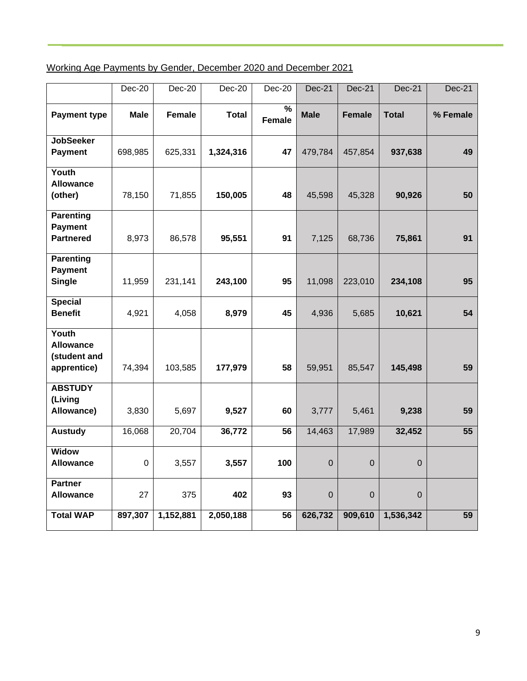| Working Age Payments by Gender, December 2020 and December 2021 |  |  |  |
|-----------------------------------------------------------------|--|--|--|
|                                                                 |  |  |  |

|                                                          | Dec-20      | Dec-20    | Dec-20       | Dec-20                                    | <b>Dec-21</b>  | <b>Dec-21</b>  | <b>Dec-21</b> | Dec-21   |
|----------------------------------------------------------|-------------|-----------|--------------|-------------------------------------------|----------------|----------------|---------------|----------|
| <b>Payment type</b>                                      | <b>Male</b> | Female    | <b>Total</b> | $\overline{\frac{9}{6}}$<br><b>Female</b> | <b>Male</b>    | <b>Female</b>  | <b>Total</b>  | % Female |
| <b>JobSeeker</b><br><b>Payment</b>                       | 698,985     | 625,331   | 1,324,316    | 47                                        | 479,784        | 457,854        | 937,638       | 49       |
| Youth<br><b>Allowance</b><br>(other)                     | 78,150      | 71,855    | 150,005      | 48                                        | 45,598         | 45,328         | 90,926        | 50       |
| <b>Parenting</b><br><b>Payment</b><br><b>Partnered</b>   | 8,973       | 86,578    | 95,551       | 91                                        | 7,125          | 68,736         | 75,861        | 91       |
| <b>Parenting</b><br><b>Payment</b><br><b>Single</b>      | 11,959      | 231,141   | 243,100      | 95                                        | 11,098         | 223,010        | 234,108       | 95       |
| Special<br><b>Benefit</b>                                | 4,921       | 4,058     | 8,979        | 45                                        | 4,936          | 5,685          | 10,621        | 54       |
| Youth<br><b>Allowance</b><br>(student and<br>apprentice) | 74,394      | 103,585   | 177,979      | 58                                        | 59,951         | 85,547         | 145,498       | 59       |
| <b>ABSTUDY</b><br>(Living<br>Allowance)                  | 3,830       | 5,697     | 9,527        | 60                                        | 3,777          | 5,461          | 9,238         | 59       |
| <b>Austudy</b>                                           | 16,068      | 20,704    | 36,772       | 56                                        | 14,463         | 17,989         | 32,452        | 55       |
| <b>Widow</b><br><b>Allowance</b>                         | $\mathbf 0$ | 3,557     | 3,557        | 100                                       | $\overline{0}$ | $\overline{0}$ | $\mathbf 0$   |          |
| <b>Partner</b><br><b>Allowance</b>                       | 27          | 375       | 402          | 93                                        | $\overline{0}$ | $\mathbf 0$    | $\mathbf 0$   |          |
| <b>Total WAP</b>                                         | 897,307     | 1,152,881 | 2,050,188    | 56                                        | 626,732        | 909,610        | 1,536,342     | 59       |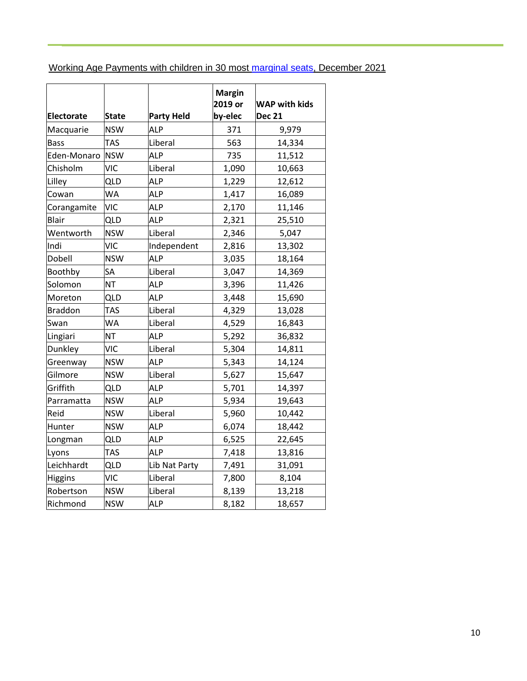Working Age Payments with children in 30 most [marginal seats,](https://results.aec.gov.au/24310/Website/HouseDivisionalResults-24310.htm) December 2021

| Electorate     | <b>Party Held</b><br><b>State</b> |               | <b>Margin</b><br>2019 or<br>by-elec | <b>WAP with kids</b><br><b>Dec 21</b> |  |  |
|----------------|-----------------------------------|---------------|-------------------------------------|---------------------------------------|--|--|
| Macquarie      | <b>NSW</b>                        | <b>ALP</b>    | 371                                 | 9,979                                 |  |  |
| <b>Bass</b>    | <b>TAS</b>                        | Liberal       | 563                                 | 14,334                                |  |  |
| Eden-Monaro    | <b>NSW</b>                        | <b>ALP</b>    | 735                                 | 11,512                                |  |  |
| Chisholm       | <b>VIC</b>                        | Liberal       | 1,090                               | 10,663                                |  |  |
| Lilley         | QLD                               | <b>ALP</b>    | 1,229                               | 12,612                                |  |  |
| Cowan          | WA                                | <b>ALP</b>    | 1,417                               | 16,089                                |  |  |
| Corangamite    | <b>VIC</b>                        | ALP           | 2,170                               | 11,146                                |  |  |
| <b>Blair</b>   | <b>QLD</b>                        | <b>ALP</b>    | 2,321                               | 25,510                                |  |  |
| Wentworth      | <b>NSW</b>                        | Liberal       | 2,346                               | 5,047                                 |  |  |
| Indi           | <b>VIC</b>                        | Independent   | 2,816                               | 13,302                                |  |  |
| <b>Dobell</b>  | <b>NSW</b>                        | <b>ALP</b>    | 3,035                               | 18,164                                |  |  |
| Boothby        | SA                                | Liberal       | 3,047                               | 14,369                                |  |  |
| Solomon        | <b>NT</b>                         | <b>ALP</b>    | 3,396                               | 11,426                                |  |  |
| Moreton        | <b>QLD</b>                        | <b>ALP</b>    | 3,448                               | 15,690                                |  |  |
| <b>Braddon</b> | TAS                               | Liberal       | 4,329                               | 13,028                                |  |  |
| Swan           | WA                                | Liberal       | 4,529                               | 16,843                                |  |  |
| Lingiari       | <b>NT</b>                         | <b>ALP</b>    | 5,292                               | 36,832                                |  |  |
| Dunkley        | <b>VIC</b>                        | Liberal       | 5,304                               | 14,811                                |  |  |
| Greenway       | <b>NSW</b>                        | <b>ALP</b>    | 5,343                               | 14,124                                |  |  |
| Gilmore        | <b>NSW</b>                        | Liberal       | 5,627                               | 15,647                                |  |  |
| Griffith       | <b>QLD</b>                        | <b>ALP</b>    | 5,701                               | 14,397                                |  |  |
| Parramatta     | <b>NSW</b>                        | <b>ALP</b>    | 5,934                               | 19,643                                |  |  |
| Reid           | <b>NSW</b>                        | Liberal       | 5,960                               | 10,442                                |  |  |
| Hunter         | <b>NSW</b>                        | <b>ALP</b>    | 6,074                               | 18,442                                |  |  |
| Longman        | <b>QLD</b>                        | <b>ALP</b>    | 6,525                               | 22,645                                |  |  |
| Lyons          | <b>TAS</b>                        | <b>ALP</b>    | 7,418                               | 13,816                                |  |  |
| Leichhardt     | QLD                               | Lib Nat Party | 7,491                               | 31,091                                |  |  |
| <b>Higgins</b> | <b>VIC</b>                        | Liberal       | 7,800                               | 8,104                                 |  |  |
| Robertson      | <b>NSW</b>                        | Liberal       | 8,139                               | 13,218                                |  |  |
| Richmond       | <b>NSW</b>                        | <b>ALP</b>    | 8,182                               | 18,657                                |  |  |